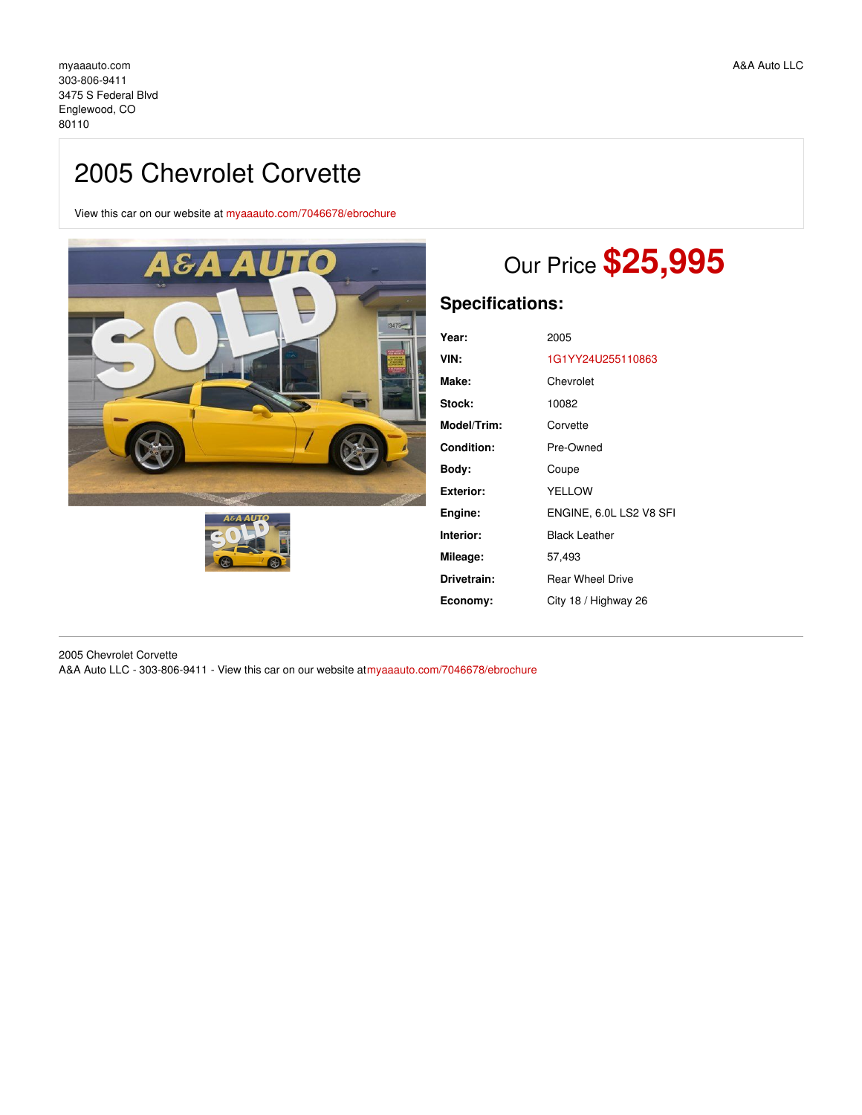## 2005 Chevrolet Corvette

View this car on our website at [myaaauto.com/7046678/ebrochure](https://myaaauto.com/vehicle/7046678/2005-chevrolet-corvette-englewood-co-80110/7046678/ebrochure)





# Our Price **\$25,995**

## **Specifications:**

| Year:       | 2005                    |
|-------------|-------------------------|
| VIN:        | 1G1YY24U255110863       |
| Make:       | Chevrolet               |
| Stock:      | 10082                   |
| Model/Trim: | Corvette                |
| Condition:  | Pre-Owned               |
| Bodv:       | Coupe                   |
| Exterior:   | <b>YELLOW</b>           |
| Engine:     | ENGINE, 6.0L LS2 V8 SFI |
| Interior:   | <b>Black Leather</b>    |
| Mileage:    | 57,493                  |
| Drivetrain: | <b>Rear Wheel Drive</b> |
| Economy:    | City 18 / Highway 26    |
|             |                         |

2005 Chevrolet Corvette A&A Auto LLC - 303-806-9411 - View this car on our website a[tmyaaauto.com/7046678/ebrochure](https://myaaauto.com/vehicle/7046678/2005-chevrolet-corvette-englewood-co-80110/7046678/ebrochure)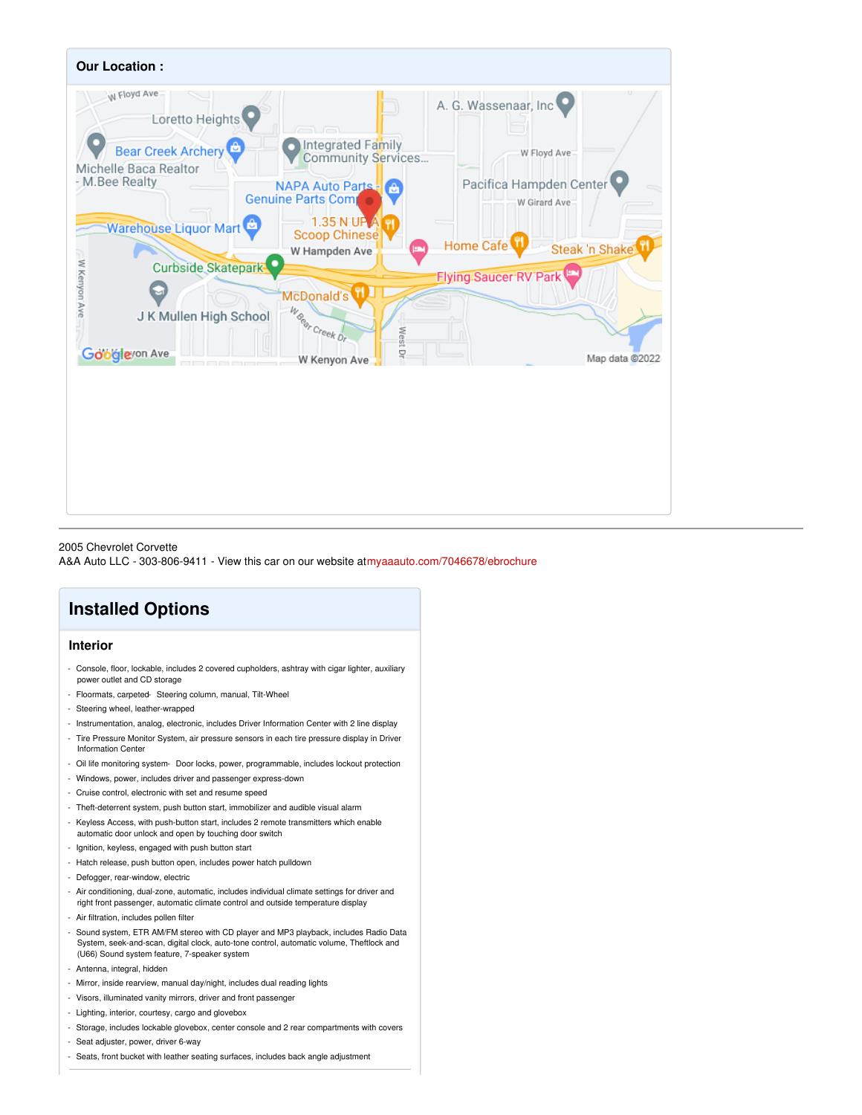

#### 2005 Chevrolet Corvette

A&A Auto LLC - 303-806-9411 - View this car on our website a[tmyaaauto.com/7046678/ebrochure](https://myaaauto.com/vehicle/7046678/2005-chevrolet-corvette-englewood-co-80110/7046678/ebrochure)

## **Installed Options**

#### **Interior**

- Console, floor, lockable, includes 2 covered cupholders, ashtray with cigar lighter, auxiliary power outlet and CD storage
- Floormats, carpeted- Steering column, manual, Tilt-Wheel
- Steering wheel, leather-wrapped
- Instrumentation, analog, electronic, includes Driver Information Center with 2 line display
- Tire Pressure Monitor System, air pressure sensors in each tire pressure display in Driver Information Center
- Oil life monitoring system- Door locks, power, programmable, includes lockout protection
- Windows, power, includes driver and passenger express-down
- Cruise control, electronic with set and resume speed
- Theft-deterrent system, push button start, immobilizer and audible visual alarm
- Keyless Access, with push-button start, includes 2 remote transmitters which enable automatic door unlock and open by touching door switch
- Ignition, keyless, engaged with push button start
- Hatch release, push button open, includes power hatch pulldown
- Defogger, rear-window, electric
- Air conditioning, dual-zone, automatic, includes individual climate settings for driver and right front passenger, automatic climate control and outside temperature display
- Air filtration, includes pollen filter
- Sound system, ETR AM/FM stereo with CD player and MP3 playback, includes Radio Data System, seek-and-scan, digital clock, auto-tone control, automatic volume, Theftlock and (U66) Sound system feature, 7-speaker system
- Antenna, integral, hidden
- Mirror, inside rearview, manual day/night, includes dual reading lights
- Visors, illuminated vanity mirrors, driver and front passenger
- Lighting, interior, courtesy, cargo and glovebox
- Storage, includes lockable glovebox, center console and 2 rear compartments with covers
- Seat adjuster, power, driver 6-way
- Seats, front bucket with leather seating surfaces, includes back angle adjustment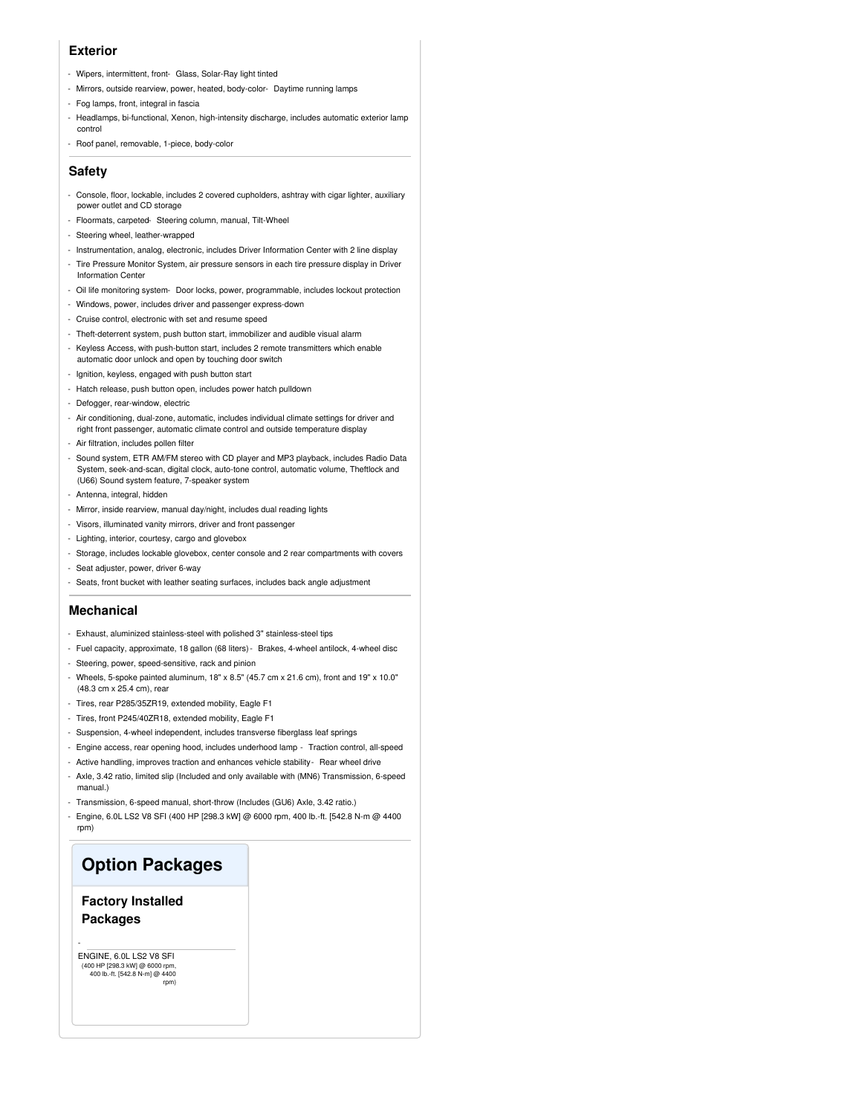#### **Exterior**

- Wipers, intermittent, front- Glass, Solar-Ray light tinted
- Mirrors, outside rearview, power, heated, body-color- Daytime running lamps
- Fog lamps, front, integral in fascia
- Headlamps, bi-functional, Xenon, high-intensity discharge, includes automatic exterior lamp control
- Roof panel, removable, 1-piece, body-color

#### **Safety**

- Console, floor, lockable, includes 2 covered cupholders, ashtray with cigar lighter, auxiliary power outlet and CD storage
- Floormats, carpeted- Steering column, manual, Tilt-Wheel
- Steering wheel, leather-wrapped
- Instrumentation, analog, electronic, includes Driver Information Center with 2 line display
- Tire Pressure Monitor System, air pressure sensors in each tire pressure display in Driver Information Center
- Oil life monitoring system- Door locks, power, programmable, includes lockout protection
- Windows, power, includes driver and passenger express-down
- Cruise control, electronic with set and resume speed
- Theft-deterrent system, push button start, immobilizer and audible visual alarm
- Keyless Access, with push-button start, includes 2 remote transmitters which enable automatic door unlock and open by touching door switch
- Ignition, keyless, engaged with push button start
- Hatch release, push button open, includes power hatch pulldown
- Defogger, rear-window, electric
- Air conditioning, dual-zone, automatic, includes individual climate settings for driver and right front passenger, automatic climate control and outside temperature display
- Air filtration, includes pollen filter
- Sound system, ETR AM/FM stereo with CD player and MP3 playback, includes Radio Data System, seek-and-scan, digital clock, auto-tone control, automatic volume, Theftlock and (U66) Sound system feature, 7-speaker system
- Antenna, integral, hidden
- Mirror, inside rearview, manual day/night, includes dual reading lights
- Visors, illuminated vanity mirrors, driver and front passenger
- Lighting, interior, courtesy, cargo and glovebox
- Storage, includes lockable glovebox, center console and 2 rear compartments with covers
- Seat adjuster, power, driver 6-way
- Seats, front bucket with leather seating surfaces, includes back angle adjustment

#### **Mechanical**

- Exhaust, aluminized stainless-steel with polished 3" stainless-steel tips
- Fuel capacity, approximate, 18 gallon (68 liters)- Brakes, 4-wheel antilock, 4-wheel disc
- Steering, power, speed-sensitive, rack and pinion
- Wheels, 5-spoke painted aluminum,  $18" \times 8.5"$  (45.7 cm x 21.6 cm), front and  $19" \times 10.0"$ (48.3 cm x 25.4 cm), rear
- Tires, rear P285/35ZR19, extended mobility, Eagle F1
- Tires, front P245/40ZR18, extended mobility, Eagle F1
- Suspension, 4-wheel independent, includes transverse fiberglass leaf springs
- Engine access, rear opening hood, includes underhood lamp Traction control, all-speed
- Active handling, improves traction and enhances vehicle stability- Rear wheel drive
- Axle, 3.42 ratio, limited slip (Included and only available with (MN6) Transmission, 6-speed manual.)
- Transmission, 6-speed manual, short-throw (Includes (GU6) Axle, 3.42 ratio.)
- Engine, 6.0L LS2 V8 SFI (400 HP [298.3 kW] @ 6000 rpm, 400 lb.-ft. [542.8 N-m @ 4400 rpm)

### **Option Packages**

#### **Factory Installed Packages**

ENGINE, 6.0L LS2 V8 SFI (400 HP [298.3 kW] @ 6000 rpm, 400 lb.-ft. [542.8 N-m] @ 4400 rpm)

-